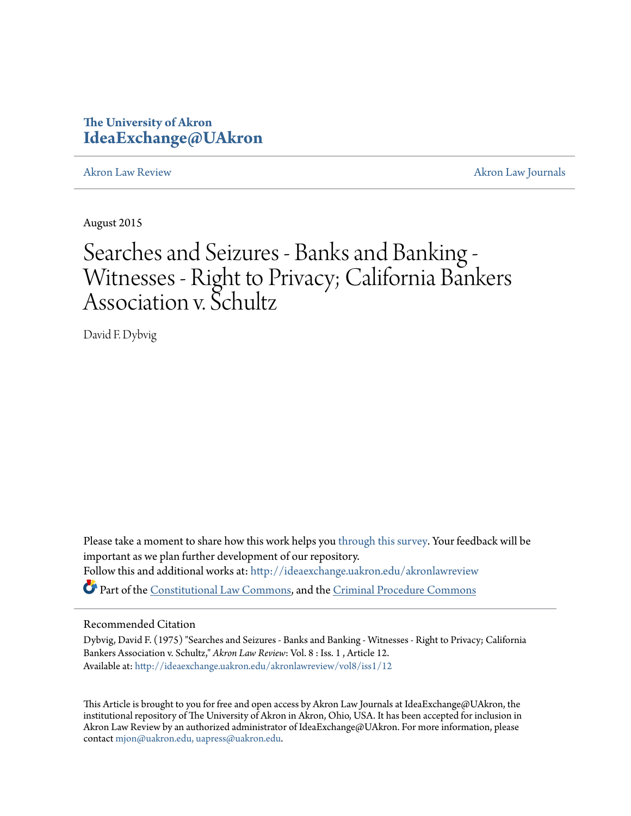## **The University of Akron [IdeaExchange@UAkron](http://ideaexchange.uakron.edu?utm_source=ideaexchange.uakron.edu%2Fakronlawreview%2Fvol8%2Fiss1%2F12&utm_medium=PDF&utm_campaign=PDFCoverPages)**

[Akron Law Review](http://ideaexchange.uakron.edu/akronlawreview?utm_source=ideaexchange.uakron.edu%2Fakronlawreview%2Fvol8%2Fiss1%2F12&utm_medium=PDF&utm_campaign=PDFCoverPages) [Akron Law Journals](http://ideaexchange.uakron.edu/akronlawjournals?utm_source=ideaexchange.uakron.edu%2Fakronlawreview%2Fvol8%2Fiss1%2F12&utm_medium=PDF&utm_campaign=PDFCoverPages)

August 2015

# Searches and Seizures - Banks and Banking - Witnesses - Right to Privacy; California Bankers Association v. Schultz

David F. Dybvig

Please take a moment to share how this work helps you [through this survey.](http://survey.az1.qualtrics.com/SE/?SID=SV_eEVH54oiCbOw05f&URL=http://ideaexchange.uakron.edu/akronlawreview/vol8/iss1/12) Your feedback will be important as we plan further development of our repository. Follow this and additional works at: [http://ideaexchange.uakron.edu/akronlawreview](http://ideaexchange.uakron.edu/akronlawreview?utm_source=ideaexchange.uakron.edu%2Fakronlawreview%2Fvol8%2Fiss1%2F12&utm_medium=PDF&utm_campaign=PDFCoverPages) Part of the [Constitutional Law Commons,](http://network.bepress.com/hgg/discipline/589?utm_source=ideaexchange.uakron.edu%2Fakronlawreview%2Fvol8%2Fiss1%2F12&utm_medium=PDF&utm_campaign=PDFCoverPages) and the [Criminal Procedure Commons](http://network.bepress.com/hgg/discipline/1073?utm_source=ideaexchange.uakron.edu%2Fakronlawreview%2Fvol8%2Fiss1%2F12&utm_medium=PDF&utm_campaign=PDFCoverPages)

## Recommended Citation

Dybvig, David F. (1975) "Searches and Seizures - Banks and Banking - Witnesses - Right to Privacy; California Bankers Association v. Schultz," *Akron Law Review*: Vol. 8 : Iss. 1 , Article 12. Available at: [http://ideaexchange.uakron.edu/akronlawreview/vol8/iss1/12](http://ideaexchange.uakron.edu/akronlawreview/vol8/iss1/12?utm_source=ideaexchange.uakron.edu%2Fakronlawreview%2Fvol8%2Fiss1%2F12&utm_medium=PDF&utm_campaign=PDFCoverPages)

This Article is brought to you for free and open access by Akron Law Journals at IdeaExchange@UAkron, the institutional repository of The University of Akron in Akron, Ohio, USA. It has been accepted for inclusion in Akron Law Review by an authorized administrator of IdeaExchange@UAkron. For more information, please contact [mjon@uakron.edu, uapress@uakron.edu.](mailto:mjon@uakron.edu,%20uapress@uakron.edu)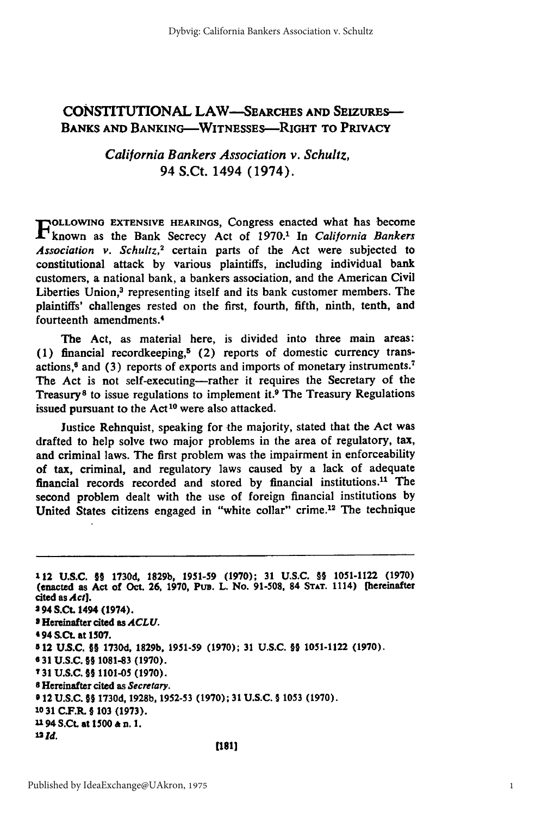## **CONSTITUTIONAL LAW-SEARCHES AND SEIZURES-BANKS AND BANKING-WITNESSES--RIGHT TO PRIVACY**

*California Bankers Association v. Schultz,* 94 S.Ct. 1494 (1974).

**FOLLOWING EXTENSIVE HEARINGS, Congress enacted what has become** known as the Bank Secrecy Act of **1970.'** In California Bankers Association v. Schultz,<sup>2</sup> certain parts of the Act were subjected to constitutional attack **by** various plaintiffs, including individual bank customers, a national bank, a bankers association, and the American Civil Liberties Union,<sup>3</sup> representing itself and its bank customer members. The plaintiffs' challenges rested **on** the first, fourth, fifth, ninth, tenth, and fourteenth amendments.4

The Act, as material here, is divided into three main areas: (1) financial recordkeeping,<sup>5</sup> (2) reports of domestic currency transactions,6 and **(3)** reports of exports and imports of monetary instruments.<sup>7</sup> The Act is not self-executing-rather it requires the Secretary of the Treasury<sup>8</sup> to issue regulations to implement it.<sup>9</sup> The Treasury Regulations issued pursuant to the  $Act^{10}$  were also attacked.

Justice Rehnquist, speaking for the majority, stated that the Act was drafted to help solve two major problems in the area of regulatory, tax, and criminal laws. The first problem was the impairment in enforceability of tax, criminal, and regulatory laws caused **by** a lack of adequate financial records recorded and stored **by** financial institutions.1 " The second problem dealt with the use of foreign financial institutions **by** United States citizens engaged in "white collar" crime.<sup>12</sup> The technique

**112 U.S.C. §§ 1730d, 1829b, 1951-59 (1970); 31 U.S.C.** §§ **1051-1122 (1970)** (enacted as **Act of Oct. 26, 1970, PuB. L.** No. **91-508,** 84 **STAT. 1114)** [hereinafter cited as **Act]. 2 94 S.Ct** 1494 (1974). **S Hereinafter cited as** *ACLU.* 4 **94S** *Ct.* **at 1507. 512 U.S.C.** §§ **1730d, 1829b, 1951-59 (1970); 31 U.S.C. §§ 1051-1122 (1970). 6 31 U.S.C. §§ 1081-83 (1970). T31 U.S.C. §§ 1101-05 (1970). 8** Hereinafter cited as Secretary. **0 12 U.S.C. §§ 1730d, 1928b, 1952-53 (1970); 31 U.S.C. § 1053 (1970). 10 31 C.F.R. § 103 (1973). u** 94 **S.Ct.** at **1500 &** n. **1.** *1l2d.*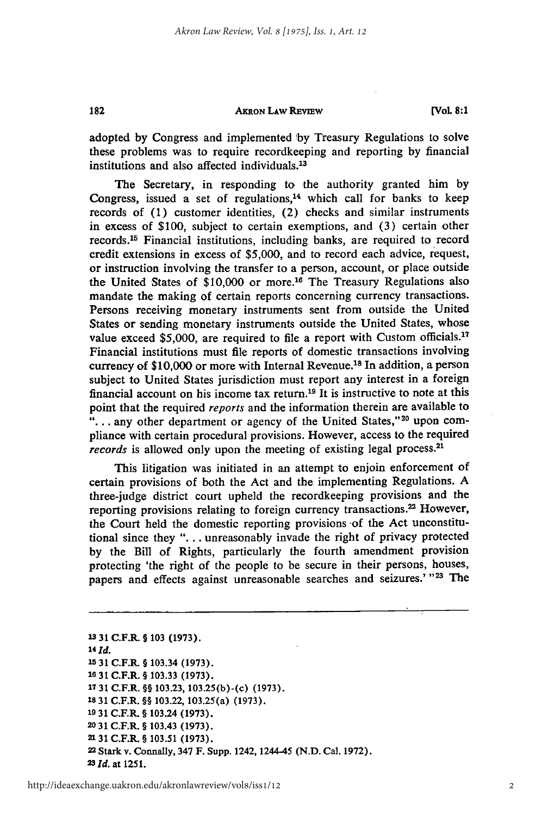#### **AKRON LAW REVIEW**

182

adopted by Congress and implemented **by** Treasury Regulations to solve these problems was to require recordkeeping and reporting by financial institutions and also affected individuals.<sup>13</sup>

The Secretary, in responding to the authority granted him by Congress, issued a set of regulations, $14$  which call for banks to keep records of (1) customer identities, (2) checks and similar instruments in excess of \$100, subject to certain exemptions, and (3) certain other records.<sup>15</sup> Financial institutions, including banks, are required to record credit extensions in excess of \$5,000, and to record each advice, request, or instruction involving the transfer to a person, account, or place outside the United States of \$10,000 or more.<sup>16</sup> The Treasury Regulations also mandate the making of certain reports concerning currency transactions. Persons receiving monetary instruments sent from outside the United States or sending monetary instruments outside the United States, whose value exceed \$5,000, are required to file a report with Custom officials.<sup>17</sup> Financial institutions must file reports of domestic transactions involving currency of \$10,000 or more with Internal Revenue.<sup>18</sup> In addition, a person subject to United States jurisdiction must report any interest in a foreign financial account on his income tax return.19 It is instructive to note at this point that the required reports and the information therein are available to "... any other department or agency of the United States,"<sup>20</sup> upon compliance with certain procedural provisions. However, access to the required records is allowed only upon the meeting of existing legal process.<sup>21</sup>

This litigation was initiated in an attempt to enjoin enforcement of certain provisions of both the Act and the implementing Regulations. A three-judge district court upheld the recordkeeping provisions and the reporting provisions relating to foreign currency transactions.<sup>22</sup> However, the Court held the domestic reporting provisions of the Act unconstitutional since they **"...** . unreasonably invade the right of privacy protected by the Bill of Rights, particularly the fourth amendment provision protecting 'the right of the people to be secure in their persons, houses, papers and effects against unreasonable searches and seizures.' **"23** The

**13 31 C.F.R. § 103 (1973). <sup>14</sup>***Id.* **<sup>15</sup>**31 C.F.R. **§** 103.34 **(1973). 16 31 C.F.R § 103.33 (1973). <sup>17</sup>31 C.F.R. §§ 103.23, 103.25(b)-(c) (1973). 18 31 C.F.R. §§ 103.22, 103.25(a) (1973). 19 31 C.F.R. §** 103.24 **(1973). <sup>20</sup>31 C.F.R. § 103.43 (1973). 2131 C.F.R. § 103.51 (1973). 22 Stark v. Connally, 347 F. Supp.** 1242,1244-45 **(N.D. Cal. 1972). <sup>23</sup>***Id.* **at 1251.**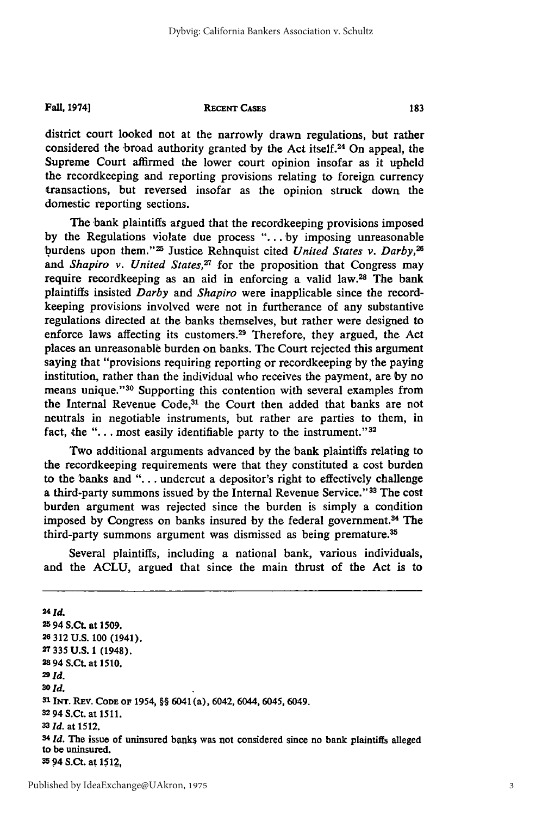**Fall, 1974]**

#### **RECENT CASES**

district court looked not at the narrowly drawn regulations, but rather considered the broad authority granted by the Act itself.<sup>24</sup> On appeal, the Supreme Court affirmed the lower court opinion insofar as it upheld the recordkeeping and reporting provisions relating to foreign currency transactions, but reversed insofar as the opinion struck down the domestic reporting sections.

The bank plaintiffs argued that the recordkeeping provisions imposed by the Regulations violate due process *"...* . by imposing unreasonable burdens upon them."<sup>25</sup> Justice Rehnquist cited *United States v. Darby*,<sup>26</sup> and *Shapiro v. United States*,<sup>27</sup> for the proposition that Congress may require recordkeeping as an aid in enforcing a valid law.<sup>28</sup> The bank plaintiffs insisted *Darby and Shapiro* were inapplicable since the recordkeeping provisions involved were not in furtherance of any substantive regulations directed at the banks themselves, but rather were designed to enforce laws affecting its customers.<sup>29</sup> Therefore, they argued, the Act places an unreasonable burden on banks. The Court rejected this argument saying that "provisions requiring reporting or recordkeeping by the paying institution, rather than the individual who receives the payment, are by no means unique."<sup>30</sup> Supporting this contention with several examples from the Internal Revenue Code,<sup>31</sup> the Court then added that banks are not neutrals in negotiable instruments, but rather are parties to them, in fact, the " $\dots$  most easily identifiable party to the instrument."<sup>32</sup>

Two additional arguments advanced by the bank plaintiffs relating to the recordkeeping requirements were that they constituted a cost burden to the banks and **"....** undercut a depositor's right to effectively challenge a third-party summons issued by the Internal Revenue Service."33 The cost burden argument was rejected since the burden is simply a condition imposed by Congress on banks insured by the federal government.<sup>34</sup> The third-party summons argument was dismissed as being premature.<sup>35</sup>

Several plaintiffs, including a national bank, various individuals, and the ACLU, argued that since the main thrust of the Act is to

**<sup>24</sup>***Id.* **<sup>25</sup>**94 **S.Ct.** at **1509. 26 312 U.S. 100 (1941). 27 335 U.S. 1** (1948). **28** 94 **S.Ct. at 1510. <sup>29</sup>***Id.* **<sup>30</sup>***Id.* **1 TNT. REv. CODE OF 1954,** §§ 6041 (a), **6042, 6044, 6045, 6049.** <sup>32</sup>**94 S.Ct.** at **1511. <sup>33</sup>***Id.* at **1512.** <sup>34</sup>*Id*. The issue of uninsured banks was not considered since no bank plaintiffs alleged **to be uninsured. 35** 94 **S.Ct. at 1512,**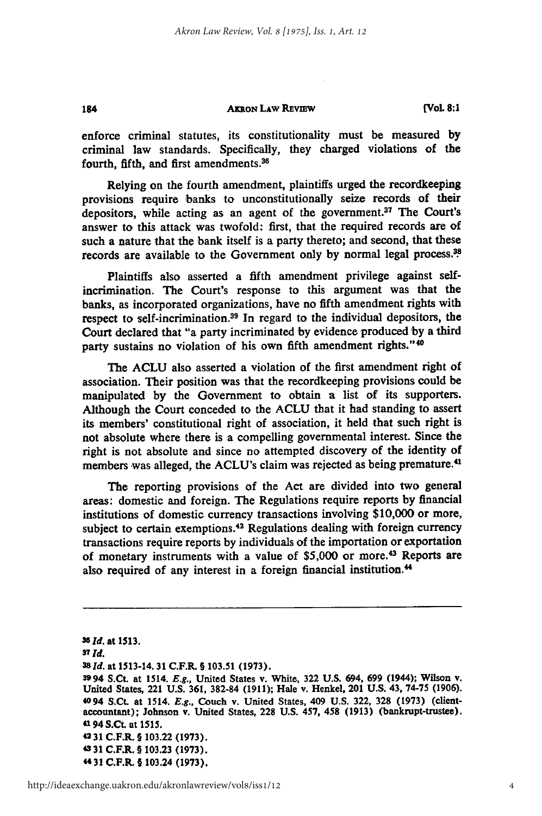#### **AxRoN LAw REvEw**

184

**[Vol 8:1**

enforce criminal statutes, its constitutionality must be measured **by** criminal law standards. Specifically, they charged violations of the fourth, fifth, and first amendments.36

Relying on the fourth amendment, plaintiffs urged the recordkeeping provisions require banks to unconstitutionally seize records of their depositors, while acting as an agent of the government.<sup>37</sup> The Court's answer to this attack was twofold: first, that the required records are of such a nature that the bank itself is a party thereto; and second, that these records are available to the Government only by normal legal process.<sup>38</sup>

Plaintiffs also asserted a fifth amendment privilege against selfincrimination. The Court's response to this argument was that the banks, as incorporated organizations, have no fifth amendment rights **with** respect to self-incrimination.<sup>39</sup> In regard to the individual depositors, the Court declared that "a party incriminated by evidence produced by a third party sustains no violation of his own fifth amendment rights."<sup>40</sup>

The **ACLU** also asserted a violation of the first amendment right of association. Their position was that the recordkeeping provisions could be manipulated **by** the Government to obtain a list of its supporters. Although the Court conceded to the **ACLU** that it had standing to assert its members' constitutional right of association, it held that such right is not absolute where there is a compelling governmental interest. Since the right is not absolute and since no attempted discovery of the identity of members was alleged, the ACLU's claim was rejected as being premature.<sup>41</sup>

The reporting provisions of the Act are divided into two general areas: domestic and foreign. The Regulations require reports **by** financial institutions of domestic currency transactions involving **\$10,000** or more, subject to certain exemptions.<sup>42</sup> Regulations dealing with foreign currency transactions require reports **by** individuals of the importation or exportation of monetary instruments with a value of \$5,000 or more.<sup>43</sup> Reports are also required of any interest in a foreign financial institution.<sup>44</sup>

**<sup>36</sup>***id.* **at 1513. <sup>37</sup>***Id.* **38Id. at 1513-14.31 C.F.R. § 103.51 (1973). 3994 S.Ct. at 1514.** *E.g.,* United States **v. White, 322 U.S. 694, 699 (1944); Wilson v. United States, 221 U.S. 361, 382-84 (1911); Hale v. Henkel, 201 U.S. 43, 74-75 (1906). 4094 S.Ct. at 1514.** *E.g.,* **Couch v. United States, 409 U.S. 322, 328 (1973) (clientaccountant); Johnson v. United States, 228 U.S. 457, 458 (1913) (bankrupt-trustee). 4194 S.Ct. at 1515. 42 31 C.F.R.** § **103.22 (1973). 43 31 C.F.R. § 103.23 (1973). " 31 C.F.R.** § **103.24 (1973),**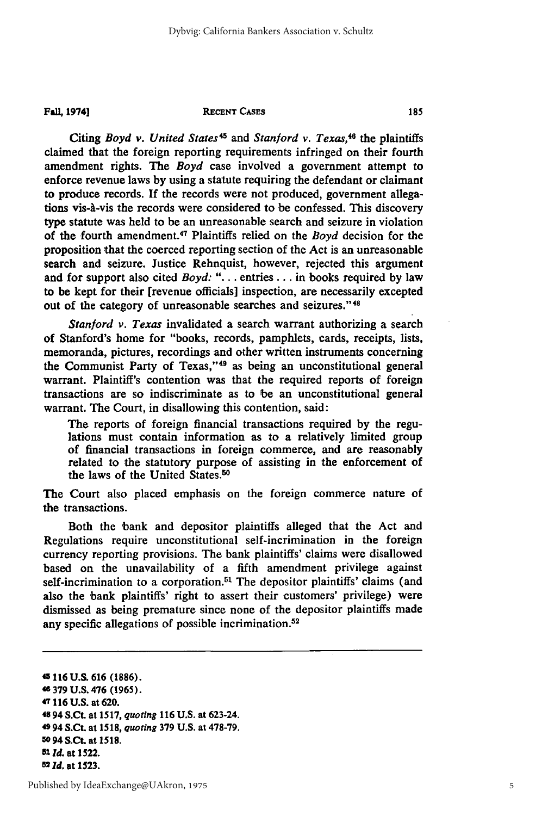**Fall, 19741**

#### **RECENT CASES**

Citing *Boyd v. United States<sup>45</sup>* and *Stanford v. Texas*,<sup>46</sup> the plaintiffs claimed that the foreign reporting requirements infringed on their fourth amendment rights. The *Boyd* case involved a government attempt to enforce revenue laws by using a statute requiring the defendant or claimant to produce records. If the records were not produced, government allegations vis-à-vis the records were considered to be confessed. This discovery type statute was held to be an unreasonable search and seizure in violation of the fourth amendment.<sup>47</sup> Plaintiffs relied on the *Boyd* decision for the proposition that the coerced reporting section of the Act is an unreasonable search and seizure. Justice Rehnquist, however, rejected this argument and for support also cited *Boyd:* "... entries... in books required by law to be kept for their [revenue officials] inspection, are necessarily excepted out of the category of unreasonable searches and seizures."<sup>48</sup>

*Stanford v. Texas* invalidated a search warrant authorizing a search of Stanford's home for "books, records, pamphlets, cards, receipts, lists, memoranda, pictures, recordings and other written instruments concerning the Communist Party of Texas,"<sup>49</sup> as being an unconstitutional general warrant. Plaintiff's contention was that the required reports of foreign transactions are so indiscriminate as to be an unconstitutional general warrant. The Court, in disallowing this contention, said:

The reports of foreign financial transactions required **by** the regulations must contain information as to a relatively limited group of financial transactions in foreign commerce, and are reasonably related to the statutory purpose of assisting in the enforcement of the laws of the United States.50

The Court also placed emphasis on the foreign commerce nature of the transactions.

Both the bank and depositor plaintiffs alleged that the Act and Regulations require unconstitutional self-incrimination in the foreign currency reporting provisions. The bank plaintiffs' claims were disallowed based on the unavailability of a fifth amendment privilege against self-incrimination to a corporation.<sup>51</sup> The depositor plaintiffs' claims (and also the bank plaintiffs' right to assert their customers' privilege) were dismissed as being premature since none of the depositor plaintiffs made any specific allegations of possible incrimination.<sup>52</sup>

**<sup>43 116</sup> U.S. 616 (1886). 48 379 U.S. 476 (1965). 47 116 U.S.** at **620. 48 94** S.Ct. at **1517,** *quoting* **116 U.S.** at **623-24. 49 94** S.Ct. at *1518, quoting* **379 U.S.** at **478-79. 50 94 S.Ct.** at **1518.** *1 Id.* at **1522. <sup>52</sup>***Id.* at **1523.**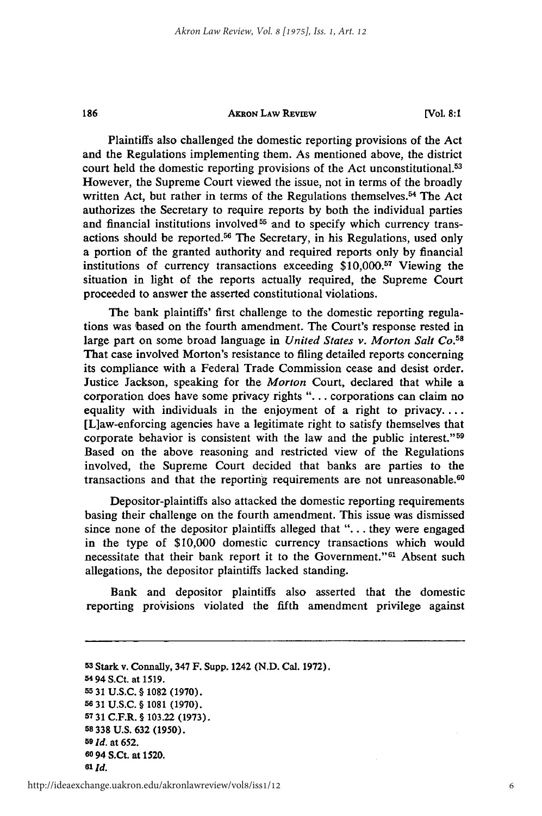#### **AKRON LAw REvIEw**

186

Plaintiffs also challenged the domestic reporting provisions of the Act and the Regulations implementing them. As mentioned above, the district court held the domestic reporting provisions of the Act unconstitutional.<sup>53</sup> However, the Supreme Court viewed the issue, not in terms of the broadly written Act, but rather in terms of the Regulations themselves.<sup>54</sup> The Act authorizes the Secretary to require reports by both the individual parties and financial institutions involved<sup>55</sup> and to specify which currency transactions should be reported.<sup>56</sup> The Secretary, in his Regulations, used only a portion of the granted authority and required reports only by financial institutions of currency transactions exceeding  $$10,000<sup>57</sup>$  Viewing the situation in light of the reports actually required, the Supreme Court proceeded to answer the asserted constitutional violations.

The bank plaintiffs' first challenge to the domestic reporting regulations was based on the fourth amendment. The Court's response rested in large part on some broad language in *United States v. Morton Salt Co. <sup>58</sup>* That case involved Morton's resistance to filing detailed reports concerning its compliance with a Federal Trade Commission cease and desist order. Justice Jackson, speaking for the *Morton* Court, declared that while a corporation does have some privacy rights ". **.** . corporations can claim no equality with individuals in the enjoyment of a right to privacy.... [L]aw-enforcing agencies have a legitimate right to satisfy themselves that corporate behavior is consistent with the law and the public interest."<sup>59</sup> Based on the above reasoning and restricted view of the Regulations involved, the Supreme Court decided that banks are parties to the transactions and that the reporting requirements are not unreasonable.<sup>60</sup>

Depositor-plaintiffs also attacked the domestic reporting requirements basing their challenge on the fourth amendment. This issue was dismissed since none of the depositor plaintiffs alleged that ". **.** . they were engaged in the type of \$10,000 domestic currency transactions which would necessitate that their bank report it to the Government."<sup>61</sup> Absent such allegations, the depositor plaintiffs lacked standing.

Bank and depositor plaintiffs also asserted that the domestic reporting provisions violated the fifth amendment privilege against

**<sup>53</sup>**Stark v. Connally, **347 F. Supp.** 1242 **(N.D.** Cal. **1972). 54 94 S.Ct.** at **1519. 55 31 U.S.C. § 1082 (1970). 56 31 U.S.C. § 1081 (1970). 57 31 C.F.R. § 103.22 (1973). 58 338 U.S. 632 (1950).** *59 d.* at **652. 60 94 S.Ct.** at **1520. <sup>61</sup>***Id.*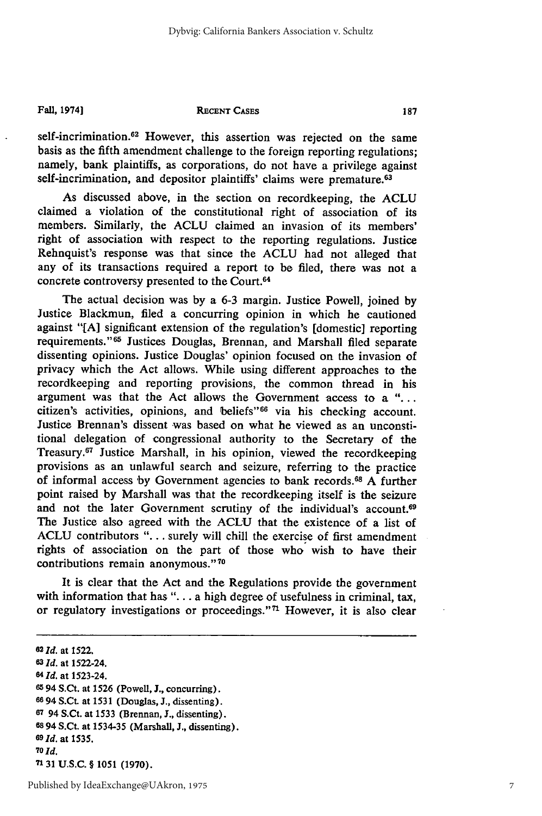#### **Fall, 1974]**

#### **RECENT CASES**

self-incrimination.<sup>62</sup> However, this assertion was rejected on the same basis as the fifth amendment challenge to the foreign reporting regulations; namely, bank plaintiffs, as corporations, do not have a privilege against self-incrimination, and depositor plaintiffs' claims were premature.<sup>63</sup>

As discussed above, in the section on recordkeeping, the ACLU claimed a violation of the constitutional right of association **of** its members. Similarly, the ACLU claimed an invasion of its members' right of association with respect to the reporting regulations. Justice Rehnquist's response was that since the ACLU had not alleged that any of its transactions required a report to be filed, there was not a concrete controversy presented to the Court.<sup>64</sup>

The actual decision was by a 6-3 margin. Justice Powell, joined by Justice Blackmun, filed a concurring opinion in which he cautioned against "[A] significant extension of the regulation's [domestic] reporting requirements."<sup>65</sup> Justices Douglas, Brennan, and Marshall filed separate dissenting opinions. Justice Douglas' opinion focused on the invasion of privacy which the Act allows. While using different approaches to the recordkeeping and reporting provisions, the common thread in his argument was that the Act allows the Government access to a **"...** citizen's activities, opinions, and beliefs"66 via his checking account. Justice Brennan's dissent was based on what he viewed as an unconstitional delegation of congressional authority to the Secretary of the Treasury.67 Justice Marshall, in his opinion, viewed the recordkeeping provisions as an unlawful search and seizure, referring to the practice of informal access by Government agencies to bank records.68 A further point raised by Marshall was that the recordkeeping itself is the seizure and not the later Government scrutiny of the individual's account.<sup>69</sup> The Justice also agreed with the ACLU that the existence of a list of ACLU contributors "... surely will chill the exercise of first amendment rights of association on the part of those who wish to have their contributions remain anonymous."70

It is clear that the Act and the Regulations provide the government with information that has "... a high degree of usefulness in criminal, tax, or regulatory investigations or proceedings."<sup>71</sup> However, it is also clear

**<sup>62</sup>***Id.* at **1522.** *63 Id.* at 1522-24. **<sup>64</sup>***Id.* at 1523-24. **<sup>65</sup>**94 S.Ct. at 1526 (Powell, **J.,** concurring). **66 94** S.Ct. at 1531 (Douglas, **J.,** dissenting). **<sup>67</sup>**94 S.Ct. at **1533** (Brennan, **J.,** dissenting). **68 94** S.Ct. at **1534-35** (Marshall, **J.,** dissenting). **69Id.** at 1535. *70Id.*

**7131 U.S.C.** § **1051 (1970).**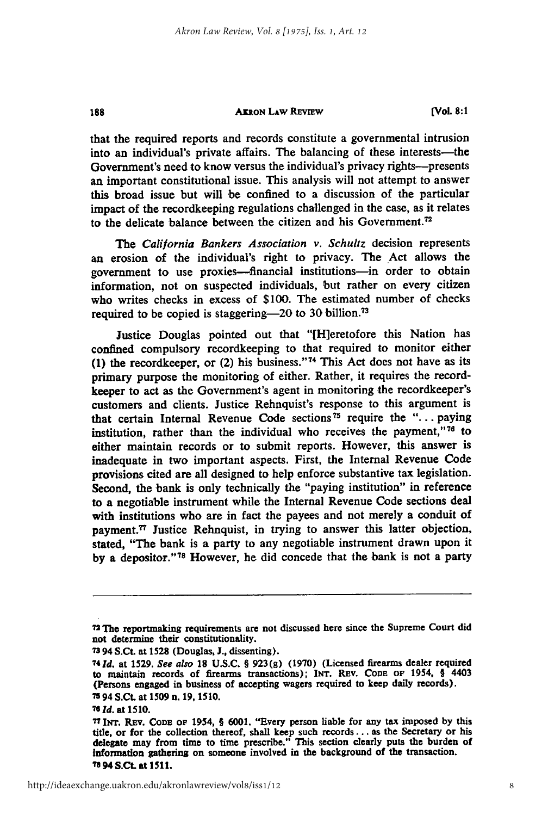#### **AK ON LAw REVIEW**

**[Vol. 8:1**

that the required reports and records constitute a governmental intrusion into an individual's private affairs. The balancing of these interests—the Government's need to know versus the individual's privacy rights-presents an important constitutional issue. This analysis will not attempt to answer this broad issue but will be confined to a discussion of the particular impact of the recordkeeping regulations challenged in the case, as it relates to the delicate balance between the citizen and his Government.<sup>72</sup>

*The* California Bankers *Association v. Schultz* decision represents an erosion of the individual's right to privacy. The Act allows the government to use proxies-financial institutions-in order to obtain information, not on suspected individuals, but rather on every citizen who writes checks in excess of **\$100.** The estimated number of checks required to be copied is staggering-20 to **30** billion.<sup>73</sup>

Justice Douglas pointed out that "[H]eretofore this Nation has confined compulsory recordkeeping to that required to monitor either **(1)** the recordkeeper, or (2) his business." 74 This Act does not have as its primary purpose the monitoring of either. Rather, it requires the recordkeeper to act as the Government's agent in monitoring the recordkeeper's customers and clients. Justice Rehnquist's response to this argument is that certain Internal Revenue Code **sections <sup>5</sup>**require the **"...** paying institution, rather than the individual who receives the payment," $76$  to either maintain records or to submit reports. However, this answer is inadequate in two important aspects. First, the Internal Revenue Code provisions cited are all designed to help enforce substantive tax legislation. Second, the bank is only technically the "paying institution" in reference to a negotiable instrument while the Internal Revenue Code sections deal with institutions who are in fact the payees and not merely a conduit of payment.<sup>77</sup> Justice Rehnquist, in trying to answer this latter objection, stated, "The bank is a party to any negotiable instrument drawn upon it **by** a depositor."78 However, he did concede that the bank is not a party

**<sup>72</sup> The** reportmaking requirements are **not discussed** here since the Supreme Court did not determine their constitutionality.

**<sup>73 94</sup> S.Ct.** at **1528** (Douglas, **J.,** dissenting).

**<sup>741</sup>d.** *at* **1529.** *See also* **18 U.S.C.** § 923(g) (1970) (Licensed firearms dealer required to maintain records of firearms transactions); **INT.** REV. **CODE OF** 1954, § 4403 (Persons engaged in business of accepting wagers required to keep daily records). **7594 S.Ct.** at **1509** n. **19, 1510.**

*<sup>76</sup>***Id.** at **1510.**

**<sup>77</sup>INT.** REv. **CODE OF 1954,** § **6001.** "Every person liable for any tax imposed **by** this title, or for the collection thereof, shall keep such records... as the Secretary or his delegate may from time to time prescribe." This section clearly puts the burden of information gathering on someone involved in the background of the transaction. **TO** 94 **S.Ct.** at **1511.**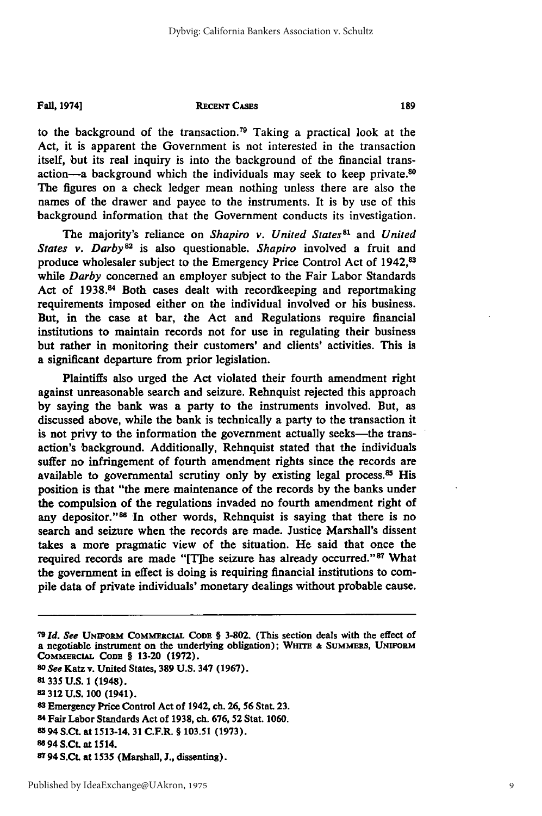**Fall,** 19741

#### **RECENT CASES**

to the background of the transaction.79 Taking a practical look at the Act, it is apparent the Government is not interested in the transaction itself, but its real inquiry is into the background of the financial transaction-a background which the individuals may seek to keep private.<sup>80</sup> The figures on a check ledger mean nothing unless there are also the names of the drawer and payee to the instruments. It is by use of this background information that the Government conducts its investigation.

The majority's reliance on *Shapiro v. United States*<sup>81</sup> and *United States v. Darby82* is also questionable. *Shapiro* involved a fruit and produce wholesaler subject to the Emergency Price Control Act of **1942,83** while *Darby* concerned an employer subject to the Fair Labor Standards Act of 1938.<sup>84</sup> Both cases dealt with recordkeeping and reportmaking requirements imposed either on the individual involved or his business. But, in the case at bar, the Act and Regulations require financial institutions to maintain records not for use in regulating their business but rather in monitoring their customers' and clients' activities. This is a significant departure from prior legislation.

Plaintiffs also urged the Act violated their fourth amendment right against unreasonable search and seizure. Rehnquist rejected this approach by saying the bank was a party to the instruments involved. But, as discussed above, while the bank is technically a party to the transaction it is not privy to the information the government actually seeks-the transaction's background. Additionally, Rehnquist stated that the individuals suffer no infringement of fourth amendment rights since the records are available to governmental scrutiny only by existing legal process.<sup>85</sup> His position is that "the mere maintenance of the records by the banks under the compulsion of the regulations invaded no fourth amendment right of any depositor."<sup>86</sup> In other words, Rehnquist is saying that there is no search and seizure when the records are made. Justice Marshall's dissent takes a more pragmatic view of the situation. He said that once the required records are made "[T]he seizure has already occurred."<sup>87</sup> What the government in effect is doing is requiring financial institutions to compile data of private individuals' monetary dealings without probable cause.

- *80 See* **Katz v. United States, 389 U.S. 347 (1967).**
- **81335 U.S. 1 (1948).**
- **82 312 U.S. 100 (1941).**
- **8 3 Emergency Price Control Act of 1942, ch. 26, 56 Stat. 23.**
- **84 Fair Labor Standards Act of 1938, ch. 676, 52 Stat. 1060.**
- **85 94 S.Ct. at** 1513-14. **31 C.F.R. § 103.51 (1973).**

**<sup>79</sup>** *Id. See* **UNmwonM COMmRCiAL CODE § 3-802. (This section deals with** the **effect of a negotiable instrument on the underlying obligation); WHITE & SUMMERS, UNFORM** COMMERCIAL CODE § 13-20 (1972).

**<sup>86 94</sup> S.Ct. at 1514.**

**<sup>87 94</sup> S.Ct. at 1535 (Marshall, J., dissenting).**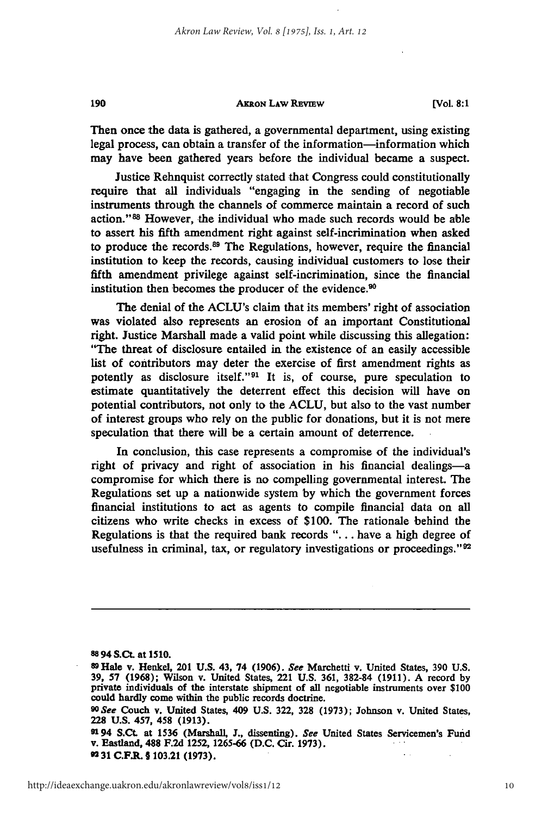#### **AKRoN LAw REvEw**

**[Vol. 8:1**

Then once the data is gathered, a governmental department, using existing legal process, can obtain a transfer of the information-information which may have been gathered years before the individual became a suspect.

Justice Rehnquist correctly stated that Congress could constitutionally require that all individuals "engaging in the sending of negotiable instruments through the channels of commerce maintain a record of such action."88 However, the individual who made such records would be able to assert his fifth amendment right against self-incrimination when asked to produce the records.<sup>89</sup> The Regulations, however, require the financial institution to keep the records, causing individual customers to lose their fifth amendment privilege against self-incrimination, since the financial institution then becomes the producer of the evidence.<sup>90</sup>

The denial of the ACLU's claim that its members' right of association was violated also represents an erosion of an important Constitutional right. Justice Marshall made a valid point while discussing this allegation: "The threat of disclosure entailed in the existence of an easily accessible list of contributors may deter the exercise of first amendment rights as potently as disclosure itself."<sup>91</sup> It is, of course, pure speculation to estimate quantitatively the deterrent effect this decision will have on potential contributors, not only to the ACLU, but also to the vast number of interest groups who rely on the public for donations, but it is not mere speculation that there will be a certain amount of deterrence.

In conclusion, this case represents a compromise **of** the individual's right of privacy and right of association in his financial dealings-a compromise for which there is no compelling governmental interest. The Regulations set up a nationwide system **by** which the government forces financial institutions to act as agents to compile financial data on all citizens who write checks in excess of \$100. The rationale behind the Regulations is that the required bank records "... have a high degree of usefulness in criminal, tax, or regulatory investigations or proceedings."<sup>92</sup>

**88 94 S.Ct.** at **1510.**

190

**9194 S.Ct. at 1536 (Marshall, J., dissenting).** *See* United States Servicemen's Fund v. Eastland, **488 F.2d 1252, 1265-66 (D.C.** Cir. **1973). 92 31 C.F.R. § 103.21 (1973).**

**<sup>89</sup> Hale v. Henkel, 201 U.S.** 43, 74 **(1906).** *See* Marchetti v. United States, **390 U.S. 39, 57 (1968); Wilson v. United States, 221 U.S. 361, 382-84 (1911). A record by** private individuals of the interstate shipment of all negotiable instruments over **\$100** could hardly come within the public records doctrine.

**<sup>9</sup>OSee** Couch v. United States, 409 **U.S. 322, 328 (1973);** Johnson v. United States, **228 U.S. 457,** 458 **(1913).**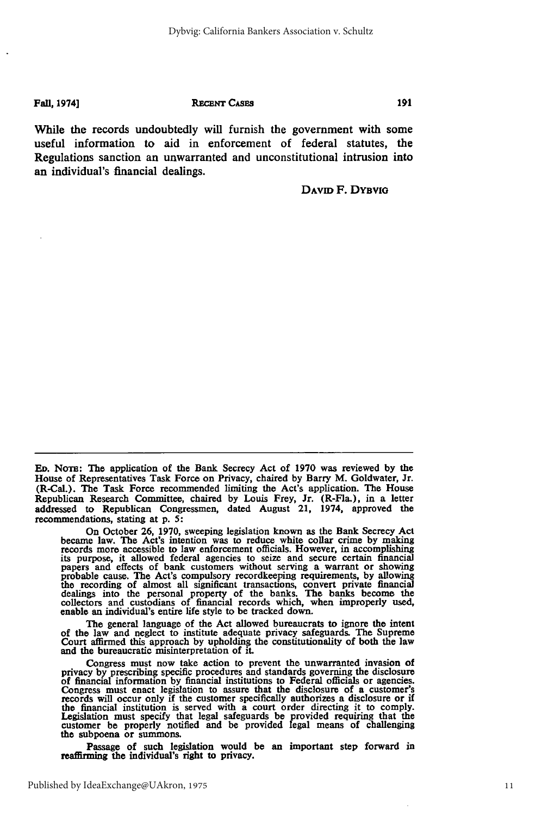**Fall, 19741]**

#### **RECENT CASES**

While the records undoubtedly will furnish the government with some useful information to aid in enforcement of federal statutes, the Regulations sanction an unwarranted and unconstitutional intrusion into an individual's financial dealings.

**DAVID** F. DYBvia

191

**ED.** NoTm: The application of the Bank Secrecy Act of **1970** was reviewed **by** the House of Representatives Task Force on Privacy, chaired **by** Barry M. Goldwater, Jr. (R-Cal.). The Task Force recommended limiting the Act's application. The House Republican Research Committee, chaired **by** Louis Frey, Jr. (R-Fla.), in a letter addressed to Republican Congressmen, dated August 21, 1974, approved the recommendations, stating at **p. 5:**

On October **26, 1970,** sweeping legislation known as the Bank Secrecy Act became law. The Act's intention was to reduce white collar crime **by** making records more accessible to law enforcement officials. However, in accomplishing<br>its purpose, it allowed federal agencies to seize and secure certain financial<br>papers and effects of bank customers without serving a warrant

The general language of the Act allowed bureaucrats to ignore the intent of the law and neglect to institute adequate privacy safeguards. The Supreme Court affirmed this approach **by** upholding the constitutionality of both the law and the bureaucratic misinterpretation of it.

Congress must now take action to prevent the unwarranted invasion of privacy **by** prescribing specific procedures and standards governing the disclosure of financial information **by** financial institutions to Federal officials or agencies. Congress must enact legislation to assure that the disclosure of a customer's becomes will occur only if the customer specifically authorizes a disclosure or if<br>the financial institution is served with a court order directing it to comply.<br>Legislation must specify that legal safeguards be provided r the subpoena or summons.

Passage of such legislation would be an important step forward in reaffirming the individual's right to privacy.